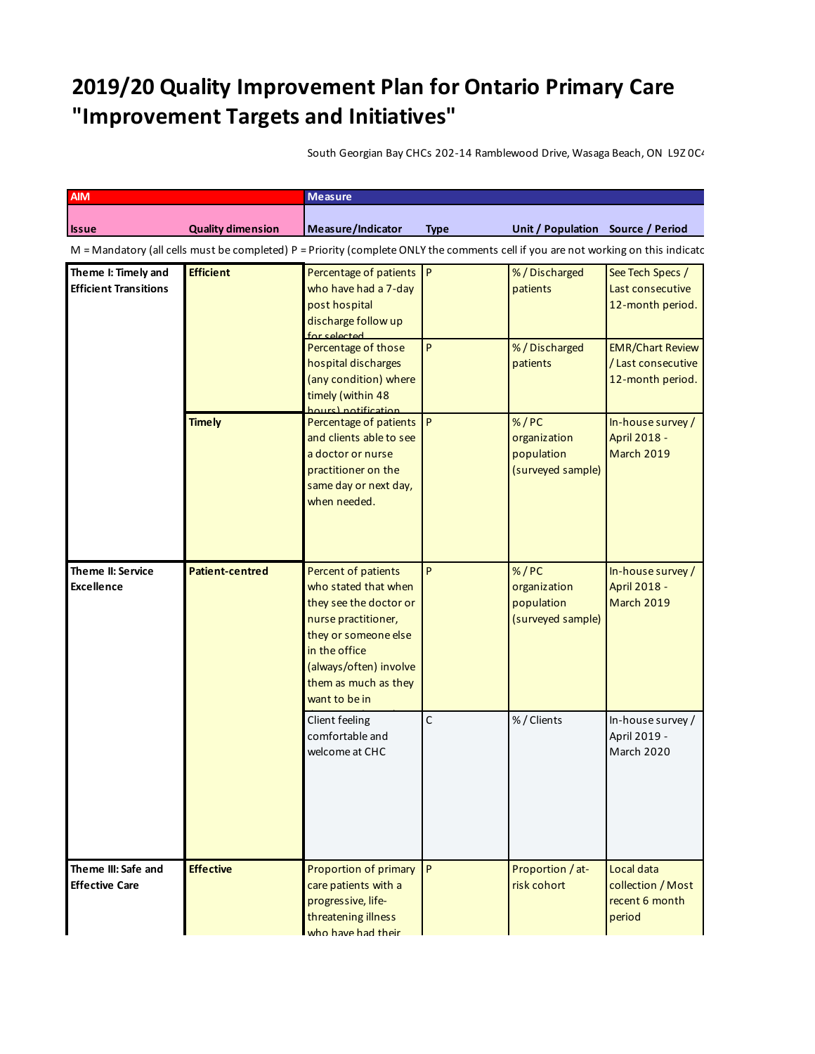## **2019/20 Quality Improvement Plan for Ontario Primary Care "Improvement Targets and Initiatives"**

South Georgian Bay CHCs 202-14 Ramblewood Drive, Wasaga Beach, ON L9Z 0C4

| <b>AIM</b>                                                                                                                          |                          | Measure                                                                                                                                                                                                  |              |                                                           |                                                                  |  |  |
|-------------------------------------------------------------------------------------------------------------------------------------|--------------------------|----------------------------------------------------------------------------------------------------------------------------------------------------------------------------------------------------------|--------------|-----------------------------------------------------------|------------------------------------------------------------------|--|--|
| <b>Issue</b>                                                                                                                        | <b>Quality dimension</b> | Measure/Indicator                                                                                                                                                                                        | <b>Type</b>  | Unit / Population Source / Period                         |                                                                  |  |  |
| $M =$ Mandatory (all cells must be completed) P = Priority (complete ONLY the comments cell if you are not working on this indicatc |                          |                                                                                                                                                                                                          |              |                                                           |                                                                  |  |  |
| Theme I: Timely and<br><b>Efficient Transitions</b>                                                                                 | <b>Efficient</b>         | Percentage of patients P<br>who have had a 7-day<br>post hospital<br>discharge follow up<br>for selected                                                                                                 |              | %/Discharged<br>patients                                  | See Tech Specs /<br>Last consecutive<br>12-month period.         |  |  |
|                                                                                                                                     |                          | Percentage of those<br>hospital discharges<br>(any condition) where<br>timely (within 48<br>hours) notification                                                                                          | P            | %/Discharged<br>patients                                  | <b>EMR/Chart Review</b><br>/Last consecutive<br>12-month period. |  |  |
|                                                                                                                                     | <b>Timely</b>            | Percentage of patients P<br>and clients able to see<br>a doctor or nurse<br>practitioner on the<br>same day or next day,<br>when needed.                                                                 |              | % / PC<br>organization<br>population<br>(surveyed sample) | In-house survey /<br>April 2018 -<br>March 2019                  |  |  |
| Theme II: Service<br><b>Excellence</b>                                                                                              | <b>Patient-centred</b>   | Percent of patients<br>who stated that when<br>they see the doctor or<br>nurse practitioner,<br>they or someone else<br>in the office<br>(always/often) involve<br>them as much as they<br>want to be in | P            | % / PC<br>organization<br>population<br>(surveyed sample) | In-house survey /<br>April 2018 -<br>March 2019                  |  |  |
|                                                                                                                                     |                          | Client feeling<br>comfortable and<br>welcome at CHC                                                                                                                                                      | $\mathsf{C}$ | %/Clients                                                 | In-house survey /<br>April 2019 -<br>March 2020                  |  |  |
| Theme III: Safe and<br><b>Effective Care</b>                                                                                        | <b>Effective</b>         | Proportion of primary P<br>care patients with a<br>progressive, life-<br>threatening illness<br>who have had their                                                                                       |              | Proportion / at-<br>risk cohort                           | Local data<br>collection / Most<br>recent 6 month<br>period      |  |  |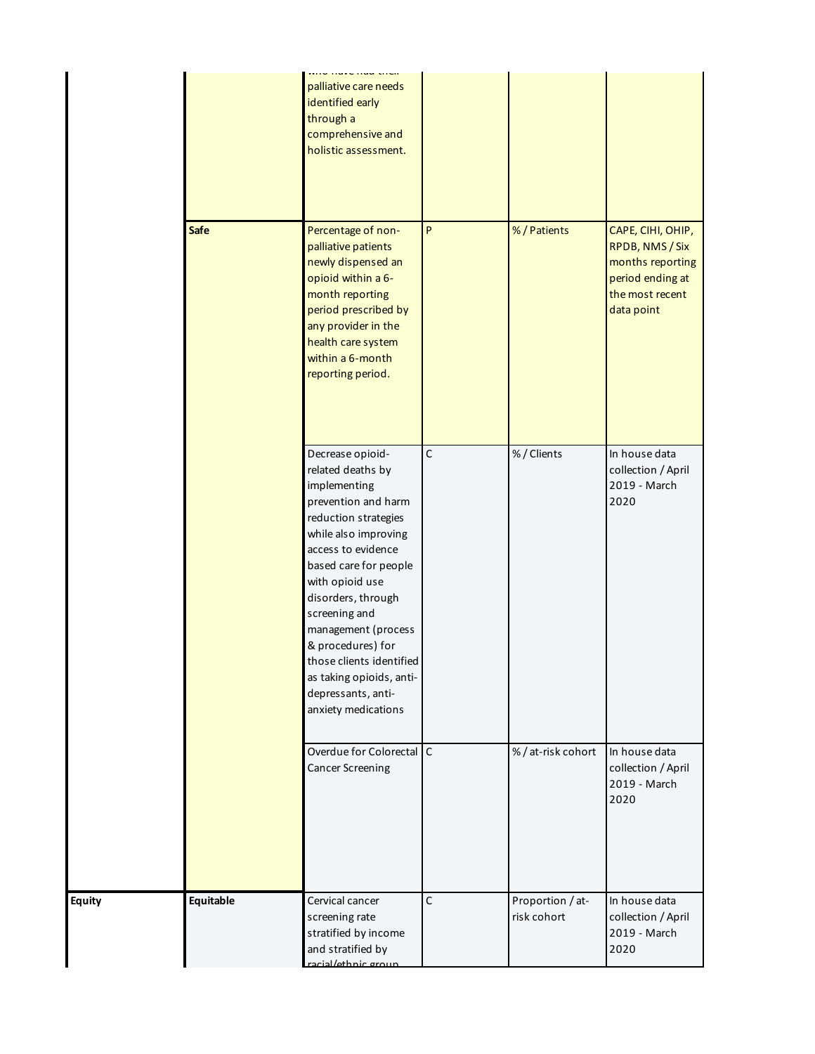|             | palliative care needs<br>identified early<br>through a<br>comprehensive and<br>holistic assessment.                                                                                                                                                                                                                                                                                    |              |                                 |                                                                                                               |
|-------------|----------------------------------------------------------------------------------------------------------------------------------------------------------------------------------------------------------------------------------------------------------------------------------------------------------------------------------------------------------------------------------------|--------------|---------------------------------|---------------------------------------------------------------------------------------------------------------|
| <b>Safe</b> | Percentage of non-<br>palliative patients<br>newly dispensed an<br>opioid within a 6-<br>month reporting<br>period prescribed by<br>any provider in the<br>health care system<br>within a 6-month<br>reporting period.                                                                                                                                                                 | P            | %/Patients                      | CAPE, CIHI, OHIP,<br>RPDB, NMS / Six<br>months reporting<br>period ending at<br>the most recent<br>data point |
|             | Decrease opioid-<br>related deaths by<br>implementing<br>prevention and harm<br>reduction strategies<br>while also improving<br>access to evidence<br>based care for people<br>with opioid use<br>disorders, through<br>screening and<br>management (process<br>& procedures) for<br>those clients identified<br>as taking opioids, anti-<br>depressants, anti-<br>anxiety medications | $\mathsf C$  | %/Clients                       | In house data<br>collection / April<br>2019 - March<br>2020                                                   |
|             | Overdue for Colorectal<br><b>Cancer Screening</b>                                                                                                                                                                                                                                                                                                                                      | $\mathsf{C}$ | %/at-risk cohort                | In house data<br>collection / April<br>2019 - March<br>2020                                                   |
| Equitable   | Cervical cancer<br>screening rate<br>stratified by income<br>and stratified by<br>racial/ethnic group                                                                                                                                                                                                                                                                                  | $\mathsf C$  | Proportion / at-<br>risk cohort | In house data<br>collection / April<br>2019 - March<br>2020                                                   |

**Equity**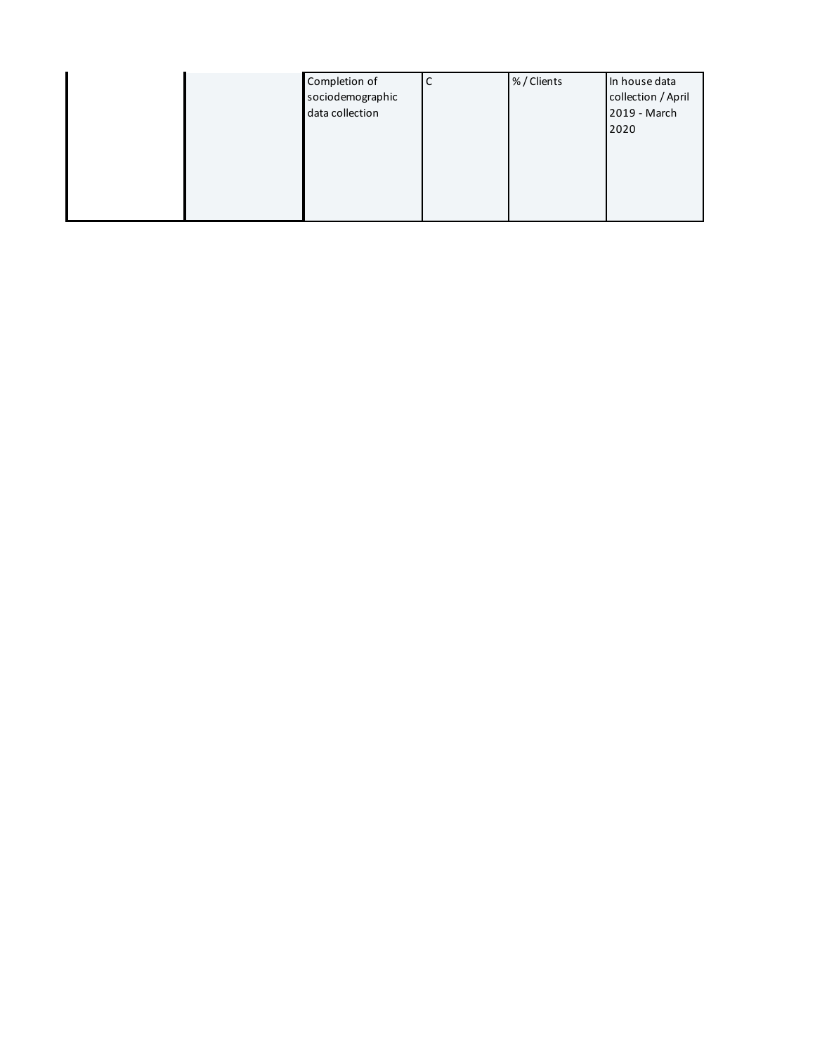|  | Completion of    | С | %/Clients | In house data      |
|--|------------------|---|-----------|--------------------|
|  | sociodemographic |   |           | collection / April |
|  | data collection  |   |           | 2019 - March       |
|  |                  |   |           | 2020               |
|  |                  |   |           |                    |
|  |                  |   |           |                    |
|  |                  |   |           |                    |
|  |                  |   |           |                    |
|  |                  |   |           |                    |
|  |                  |   |           |                    |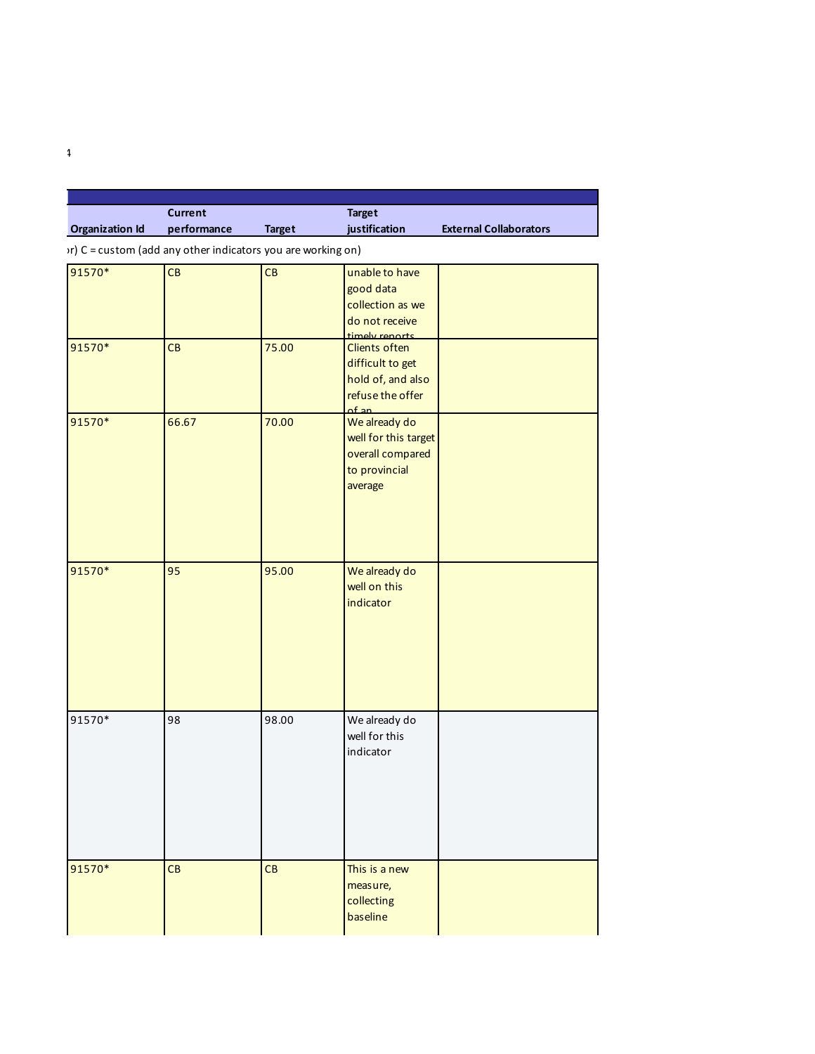|                        | Current     |               | Target        |                               |  |
|------------------------|-------------|---------------|---------------|-------------------------------|--|
| <b>Organization Id</b> | performance | <b>Target</b> | iustification | <b>External Collaborators</b> |  |

 $\mathcal{M}$  C = custom (add any other indicators you are working on)

South Georgian Bay CHCs 202-14 Ramblewood Drive, Wasaga Beach, ON L9Z 0C4

| 91570* | CB    | CB    | unable to have<br>good data |  |
|--------|-------|-------|-----------------------------|--|
|        |       |       | collection as we            |  |
|        |       |       | do not receive              |  |
|        |       |       | timoly ronarts              |  |
| 91570* | CB    | 75.00 | Clients often               |  |
|        |       |       | difficult to get            |  |
|        |       |       | hold of, and also           |  |
|        |       |       | refuse the offer            |  |
|        |       |       | of an                       |  |
| 91570* | 66.67 | 70.00 | We already do               |  |
|        |       |       | well for this target        |  |
|        |       |       | overall compared            |  |
|        |       |       | to provincial               |  |
|        |       |       | average                     |  |
|        |       |       |                             |  |
|        |       |       |                             |  |
|        |       |       |                             |  |
|        |       |       |                             |  |
|        |       |       |                             |  |
| 91570* | 95    | 95.00 | We already do               |  |
|        |       |       | well on this                |  |
|        |       |       | indicator                   |  |
|        |       |       |                             |  |
|        |       |       |                             |  |
|        |       |       |                             |  |
|        |       |       |                             |  |
|        |       |       |                             |  |
|        |       |       |                             |  |
| 91570* | 98    | 98.00 | We already do               |  |
|        |       |       | well for this               |  |
|        |       |       | indicator                   |  |
|        |       |       |                             |  |
|        |       |       |                             |  |
|        |       |       |                             |  |
|        |       |       |                             |  |
|        |       |       |                             |  |
|        |       |       |                             |  |
|        |       |       |                             |  |
| 91570* | CB    | CB    | This is a new               |  |
|        |       |       | measure,                    |  |
|        |       |       | collecting                  |  |
|        |       |       | baseline                    |  |
|        |       |       |                             |  |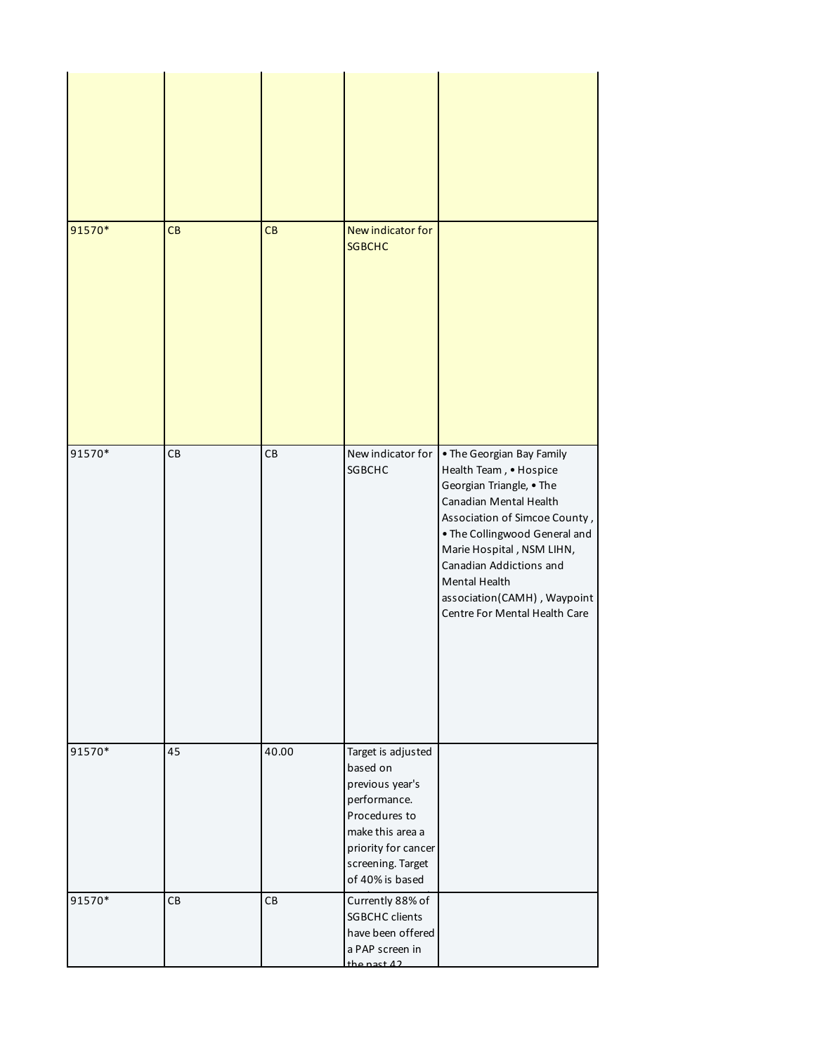| 91570* | CB | CB    | New indicator for<br><b>SGBCHC</b>                                                                                                                                    |                                                                                                                                                                                                                                                                                                                      |
|--------|----|-------|-----------------------------------------------------------------------------------------------------------------------------------------------------------------------|----------------------------------------------------------------------------------------------------------------------------------------------------------------------------------------------------------------------------------------------------------------------------------------------------------------------|
| 91570* | CB | CB    | New indicator for<br><b>SGBCHC</b>                                                                                                                                    | • The Georgian Bay Family<br>Health Team, • Hospice<br>Georgian Triangle, • The<br>Canadian Mental Health<br>Association of Simcoe County,<br>. The Collingwood General and<br>Marie Hospital, NSM LIHN,<br>Canadian Addictions and<br>Mental Health<br>association(CAMH), Waypoint<br>Centre For Mental Health Care |
| 91570* | 45 | 40.00 | Target is adjusted<br>based on<br>previous year's<br>performance.<br>Procedures to<br>make this area a<br>priority for cancer<br>screening. Target<br>of 40% is based |                                                                                                                                                                                                                                                                                                                      |
| 91570* | CB | CB    | Currently 88% of<br><b>SGBCHC</b> clients<br>have been offered<br>a PAP screen in<br>the nast $\Delta$ 2                                                              |                                                                                                                                                                                                                                                                                                                      |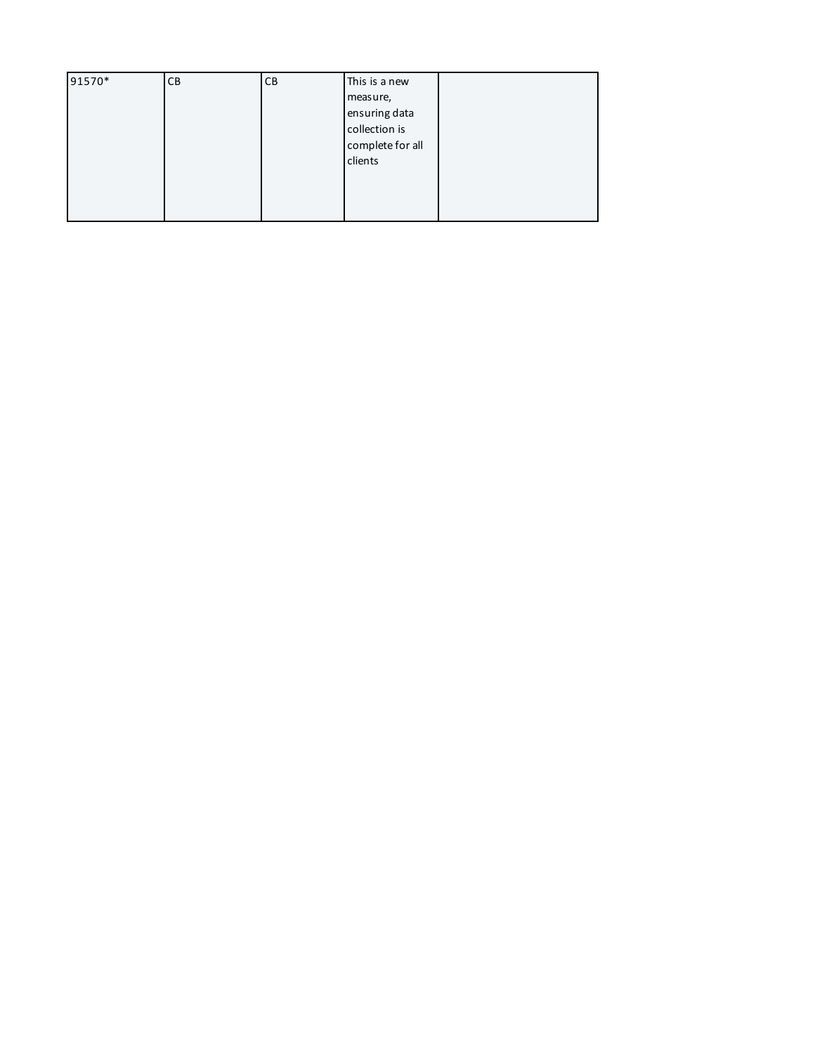| 91570* | CB | CВ | This is a new    |  |
|--------|----|----|------------------|--|
|        |    |    | measure,         |  |
|        |    |    | ensuring data    |  |
|        |    |    | collection is    |  |
|        |    |    | complete for all |  |
|        |    |    | clients          |  |
|        |    |    |                  |  |
|        |    |    |                  |  |
|        |    |    |                  |  |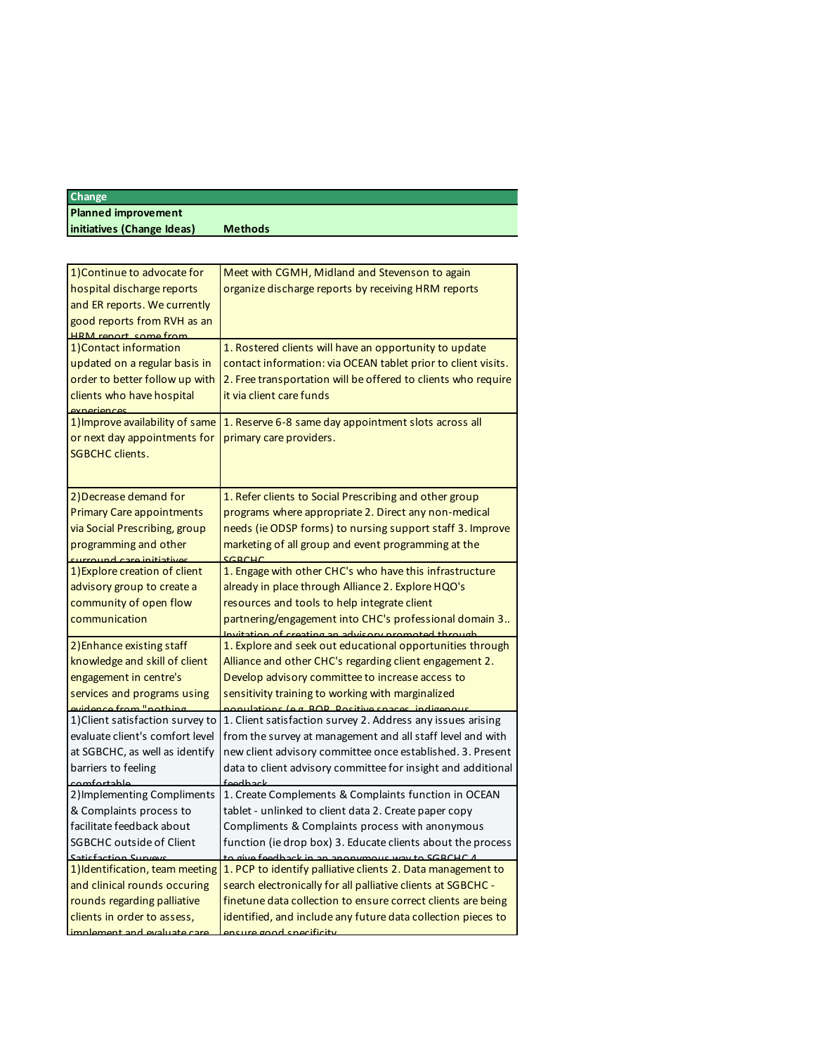## **Change Planned improvement initiatives (Change Ideas) Methods**

| 1) Continue to advocate for<br>hospital discharge reports<br>and ER reports. We currently<br>good reports from RVH as an<br><b>HRM</b> report some from | Meet with CGMH, Midland and Stevenson to again<br>organize discharge reports by receiving HRM reports                                                                                                                                                                          |
|---------------------------------------------------------------------------------------------------------------------------------------------------------|--------------------------------------------------------------------------------------------------------------------------------------------------------------------------------------------------------------------------------------------------------------------------------|
| 1) Contact information<br>updated on a regular basis in<br>order to better follow up with<br>clients who have hospital<br>avnarian <i>ı</i>             | 1. Rostered clients will have an opportunity to update<br>contact information: via OCEAN tablet prior to client visits.<br>2. Free transportation will be offered to clients who require<br>it via client care funds                                                           |
| 1) Improve availability of same<br>or next day appointments for<br><b>SGBCHC clients.</b>                                                               | 1. Reserve 6-8 same day appointment slots across all<br>primary care providers.                                                                                                                                                                                                |
| 2) Decrease demand for                                                                                                                                  | 1. Refer clients to Social Prescribing and other group                                                                                                                                                                                                                         |
| <b>Primary Care appointments</b>                                                                                                                        | programs where appropriate 2. Direct any non-medical                                                                                                                                                                                                                           |
| via Social Prescribing, group                                                                                                                           | needs (ie ODSP forms) to nursing support staff 3. Improve                                                                                                                                                                                                                      |
| programming and other                                                                                                                                   | marketing of all group and event programming at the                                                                                                                                                                                                                            |
| surround care initiatives                                                                                                                               | CDDCUPC                                                                                                                                                                                                                                                                        |
| 1) Explore creation of client<br>advisory group to create a<br>community of open flow<br>communication                                                  | 1. Engage with other CHC's who have this infrastructure<br>already in place through Alliance 2. Explore HQO's<br>resources and tools to help integrate client<br>partnering/engagement into CHC's professional domain 3<br>Invitation of creating an advisory promoted through |
| 2) Enhance existing staff                                                                                                                               | 1. Explore and seek out educational opportunities through                                                                                                                                                                                                                      |
| knowledge and skill of client                                                                                                                           | Alliance and other CHC's regarding client engagement 2.                                                                                                                                                                                                                        |
| engagement in centre's                                                                                                                                  | Develop advisory committee to increase access to                                                                                                                                                                                                                               |
| services and programs using                                                                                                                             | sensitivity training to working with marginalized                                                                                                                                                                                                                              |
| evidence from "nothing                                                                                                                                  | nonulations (e.g. ROP, Positive snaces, indigenous                                                                                                                                                                                                                             |
| 1) Client satisfaction survey to                                                                                                                        | 1. Client satisfaction survey 2. Address any issues arising                                                                                                                                                                                                                    |
| evaluate client's comfort level                                                                                                                         | from the survey at management and all staff level and with                                                                                                                                                                                                                     |
| at SGBCHC, as well as identify                                                                                                                          | new client advisory committee once established. 3. Present                                                                                                                                                                                                                     |
| barriers to feeling                                                                                                                                     | data to client advisory committee for insight and additional                                                                                                                                                                                                                   |
| comfortable                                                                                                                                             | foodhack                                                                                                                                                                                                                                                                       |
| 2) Implementing Compliments                                                                                                                             | 1. Create Complements & Complaints function in OCEAN                                                                                                                                                                                                                           |
| & Complaints process to                                                                                                                                 | tablet - unlinked to client data 2. Create paper copy                                                                                                                                                                                                                          |
| facilitate feedback about                                                                                                                               | Compliments & Complaints process with anonymous                                                                                                                                                                                                                                |
| <b>SGBCHC outside of Client</b>                                                                                                                         | function (ie drop box) 3. Educate clients about the process                                                                                                                                                                                                                    |
| Satisfaction Survey                                                                                                                                     | to give feedback in an anonymous way to SGRCH                                                                                                                                                                                                                                  |
| 1) Identification, team meeting                                                                                                                         | 1. PCP to identify palliative clients 2. Data management to                                                                                                                                                                                                                    |
| and clinical rounds occuring                                                                                                                            | search electronically for all palliative clients at SGBCHC -                                                                                                                                                                                                                   |
| rounds regarding palliative                                                                                                                             | finetune data collection to ensure correct clients are being                                                                                                                                                                                                                   |
| clients in order to assess,                                                                                                                             | identified, and include any future data collection pieces to                                                                                                                                                                                                                   |
| implement and evaluate ca                                                                                                                               | <u>phetire annal enecificity</u>                                                                                                                                                                                                                                               |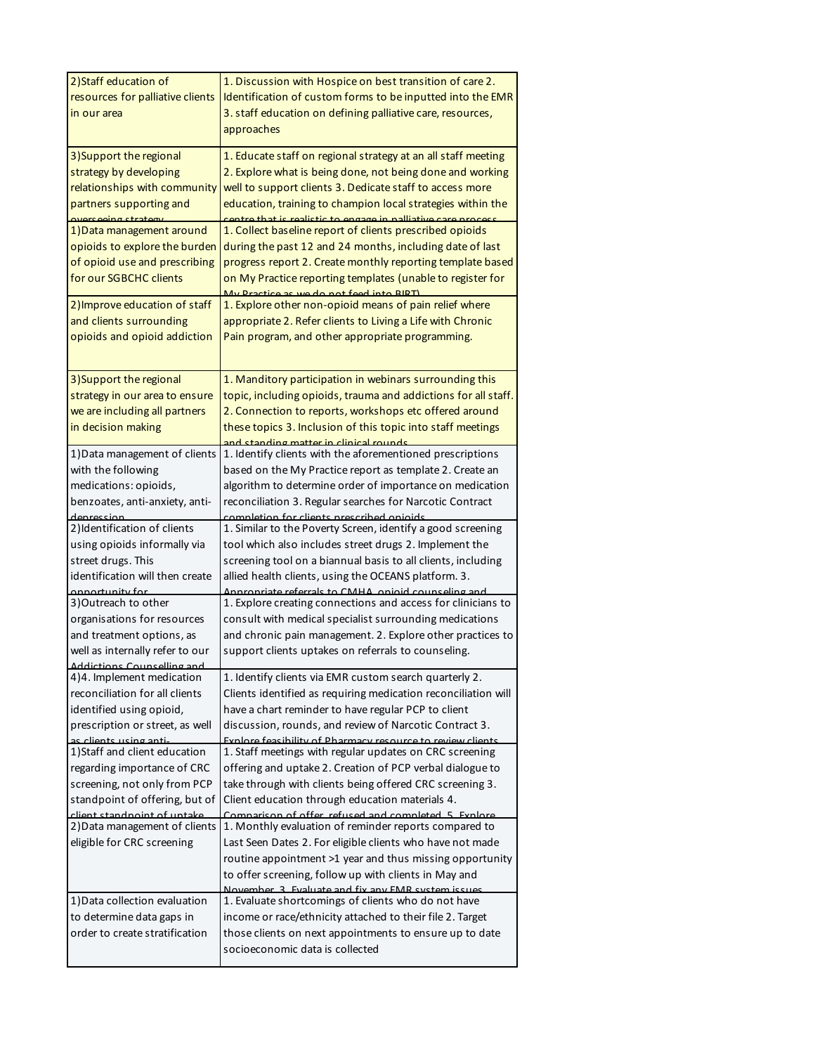| 2) Staff education of<br>resources for palliative clients<br>in our area                                                                                                                | 1. Discussion with Hospice on best transition of care 2.<br>Identification of custom forms to be inputted into the EMR<br>3. staff education on defining palliative care, resources,<br>approaches                                                                                                                                                  |
|-----------------------------------------------------------------------------------------------------------------------------------------------------------------------------------------|-----------------------------------------------------------------------------------------------------------------------------------------------------------------------------------------------------------------------------------------------------------------------------------------------------------------------------------------------------|
| 3) Support the regional<br>strategy by developing<br>relationships with community<br>partners supporting and<br>arcaaing ctrat                                                          | 1. Educate staff on regional strategy at an all staff meeting<br>2. Explore what is being done, not being done and working<br>well to support clients 3. Dedicate staff to access more<br>education, training to champion local strategies within the<br><u>a that is realistic to engage in nalliative c</u>                                       |
| 1) Data management around<br>opioids to explore the burden<br>of opioid use and prescribing<br>for our SGBCHC clients                                                                   | 1. Collect baseline report of clients prescribed opioids<br>during the past 12 and 24 months, including date of last<br>progress report 2. Create monthly reporting template based<br>on My Practice reporting templates (unable to register for<br>My Practice as we do not feed into RIRT)                                                        |
| 2) Improve education of staff<br>and clients surrounding<br>opioids and opioid addiction                                                                                                | 1. Explore other non-opioid means of pain relief where<br>appropriate 2. Refer clients to Living a Life with Chronic<br>Pain program, and other appropriate programming.                                                                                                                                                                            |
| 3) Support the regional<br>strategy in our area to ensure<br>we are including all partners<br>in decision making                                                                        | 1. Manditory participation in webinars surrounding this<br>topic, including opioids, trauma and addictions for all staff.<br>2. Connection to reports, workshops etc offered around<br>these topics 3. Inclusion of this topic into staff meetings<br>ctanding matter in clinical round                                                             |
| 1) Data management of clients<br>with the following<br>medications: opioids,<br>benzoates, anti-anxiety, anti-<br>denreccion                                                            | 1. Identify clients with the aforementioned prescriptions<br>based on the My Practice report as template 2. Create an<br>algorithm to determine order of importance on medication<br>reconciliation 3. Regular searches for Narcotic Contract<br>completion for clients prescribed opioids                                                          |
| 2) Identification of clients                                                                                                                                                            | 1. Similar to the Poverty Screen, identify a good screening                                                                                                                                                                                                                                                                                         |
| using opioids informally via<br>street drugs. This<br>identification will then create<br>annartunity far                                                                                | tool which also includes street drugs 2. Implement the<br>screening tool on a biannual basis to all clients, including<br>allied health clients, using the OCEANS platform. 3.                                                                                                                                                                      |
| 3) Outreach to other<br>organisations for resources<br>and treatment options, as<br>well as internally refer to our                                                                     | Annronristo referrals to CMHA onioid counseling and<br>1. Explore creating connections and access for clinicians to<br>consult with medical specialist surrounding medications<br>and chronic pain management. 2. Explore other practices to<br>support clients uptakes on referrals to counseling.                                                 |
| Addictions Counselling and<br>4)4. Implement medication<br>reconciliation for all clients<br>identified using opioid,<br>prescription or street, as well                                | 1. Identify clients via EMR custom search quarterly 2.<br>Clients identified as requiring medication reconciliation will<br>have a chart reminder to have regular PCP to client<br>discussion, rounds, and review of Narcotic Contract 3.                                                                                                           |
| as clients using anti-<br>1) Staff and client education<br>regarding importance of CRC<br>screening, not only from PCP<br>standpoint of offering, but of<br>client standnoint of untake | Evolore fescibility of Pharmacy resource to review clients<br>1. Staff meetings with regular updates on CRC screening<br>offering and uptake 2. Creation of PCP verbal dialogue to<br>take through with clients being offered CRC screening 3.<br>Client education through education materials 4.                                                   |
| 2) Data management of clients<br>eligible for CRC screening                                                                                                                             | Comparison of offer refused and completed 5 Evalore<br>1. Monthly evaluation of reminder reports compared to<br>Last Seen Dates 2. For eligible clients who have not made<br>routine appointment >1 year and thus missing opportunity<br>to offer screening, follow up with clients in May and<br>November 2 Evaluate and fix any FMR system issues |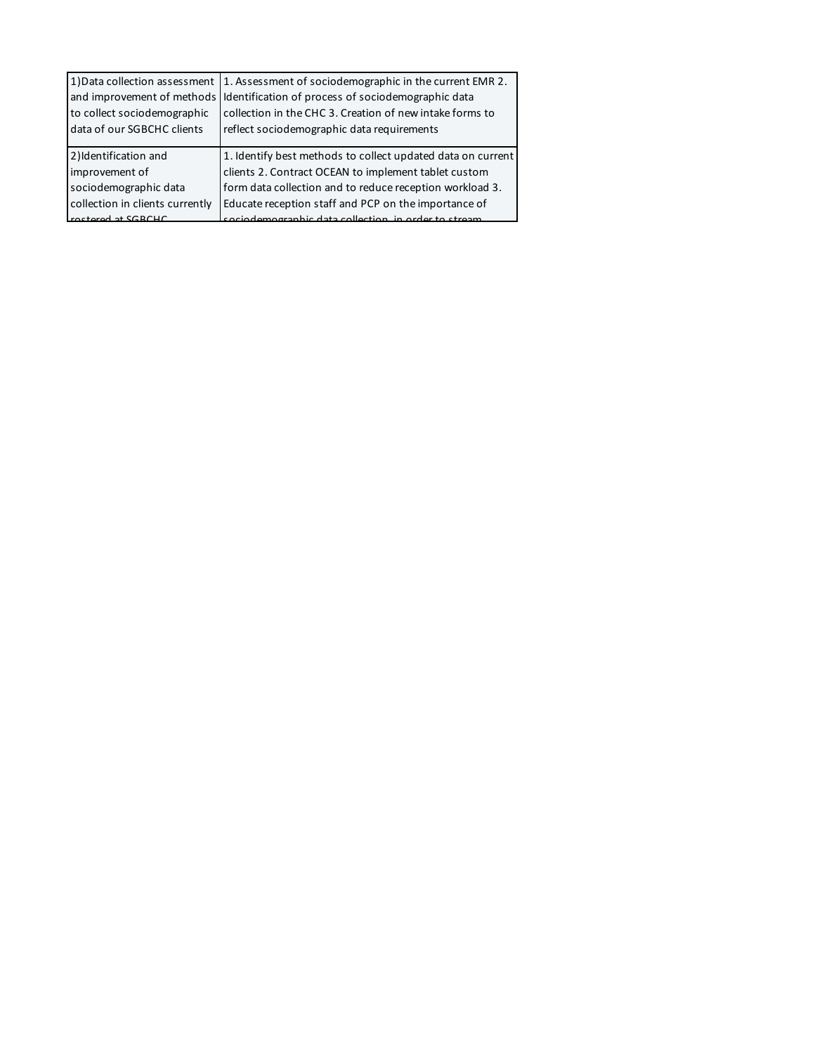| 1) Data collection assessment   | 1. Assessment of sociodemographic in the current EMR 2.     |
|---------------------------------|-------------------------------------------------------------|
| and improvement of methods      | Identification of process of sociodemographic data          |
| to collect sociodemographic     | collection in the CHC 3. Creation of new intake forms to    |
| data of our SGBCHC clients      | reflect sociodemographic data requirements                  |
|                                 |                                                             |
| 2) Identification and           | 1. Identify best methods to collect updated data on current |
| improvement of                  | clients 2. Contract OCEAN to implement tablet custom        |
| sociodemographic data           | form data collection and to reduce reception workload 3.    |
| collection in clients currently | Educate reception staff and PCP on the importance of        |
| metered at SGRCHC               | sociodemographic data collection in order to stream         |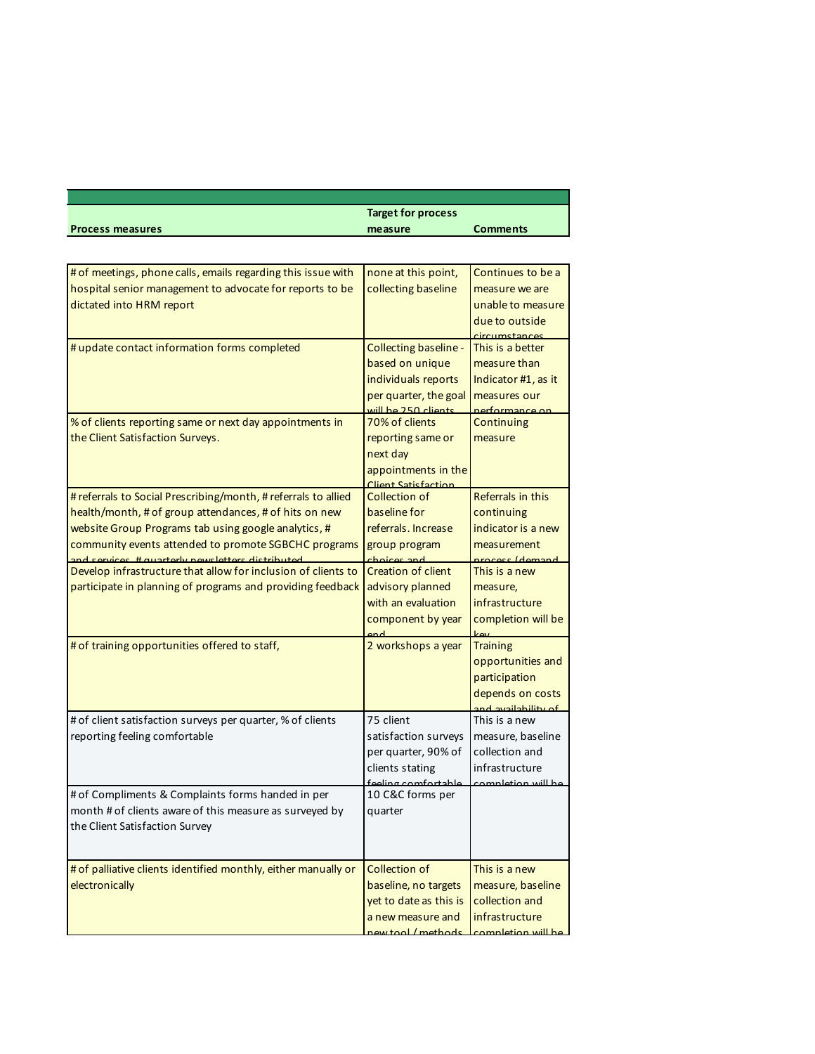|                         | <b>Target for process</b> |                 |  |
|-------------------------|---------------------------|-----------------|--|
| <b>Process measures</b> | measure                   | <b>Comments</b> |  |

Т

| # of meetings, phone calls, emails regarding this issue with   | none at this point,                     | Continues to be a            |
|----------------------------------------------------------------|-----------------------------------------|------------------------------|
| hospital senior management to advocate for reports to be       | collecting baseline                     | measure we are               |
| dictated into HRM report                                       |                                         | unable to measure            |
|                                                                |                                         | due to outside               |
|                                                                |                                         | ircumetances                 |
| # update contact information forms completed                   | Collecting baseline -                   | This is a better             |
|                                                                | based on unique                         | measure than                 |
|                                                                | individuals reports                     | Indicator #1, as it          |
|                                                                | per quarter, the goal                   | measures our                 |
| % of clients reporting same or next day appointments in        | will be 250 clients<br>70% of clients   | nerformance or<br>Continuing |
| the Client Satisfaction Surveys.                               | reporting same or                       | measure                      |
|                                                                | next day                                |                              |
|                                                                | appointments in the                     |                              |
|                                                                | Client Satisfaction                     |                              |
| # referrals to Social Prescribing/month, # referrals to allied | <b>Collection of</b>                    | Referrals in this            |
| health/month, # of group attendances, # of hits on new         | baseline for                            | continuing                   |
| website Group Programs tab using google analytics, #           | referrals. Increase                     | indicator is a new           |
| community events attended to promote SGBCHC programs           | group program                           | measurement                  |
| and convices # quarterly newsletters distributed               | choices and                             | process (demand              |
| Develop infrastructure that allow for inclusion of clients to  | <b>Creation of client</b>               | This is a new                |
| participate in planning of programs and providing feedback     | advisory planned                        | measure,                     |
|                                                                | with an evaluation                      | infrastructure               |
|                                                                | component by year                       | completion will be           |
| # of training opportunities offered to staff,                  | 2 workshops a year                      | <b>Training</b>              |
|                                                                |                                         | opportunities and            |
|                                                                |                                         | participation                |
|                                                                |                                         | depends on costs             |
|                                                                |                                         | and availability of          |
| # of client satisfaction surveys per quarter, % of clients     | 75 client                               | This is a new                |
| reporting feeling comfortable                                  | satisfaction surveys                    | measure, baseline            |
|                                                                | per quarter, 90% of                     | collection and               |
|                                                                | clients stating                         | infrastructure               |
| # of Compliments & Complaints forms handed in per              | feeling comfortable<br>10 C&C forms per | completion will be           |
| month # of clients aware of this measure as surveyed by        | quarter                                 |                              |
| the Client Satisfaction Survey                                 |                                         |                              |
|                                                                |                                         |                              |
|                                                                |                                         |                              |
| # of palliative clients identified monthly, either manually or | Collection of                           | This is a new                |
| electronically                                                 | baseline, no targets                    | measure, baseline            |
|                                                                | yet to date as this is                  | collection and               |
|                                                                | a new measure and                       | infrastructure               |
|                                                                | new tool / methods                      | completion will be           |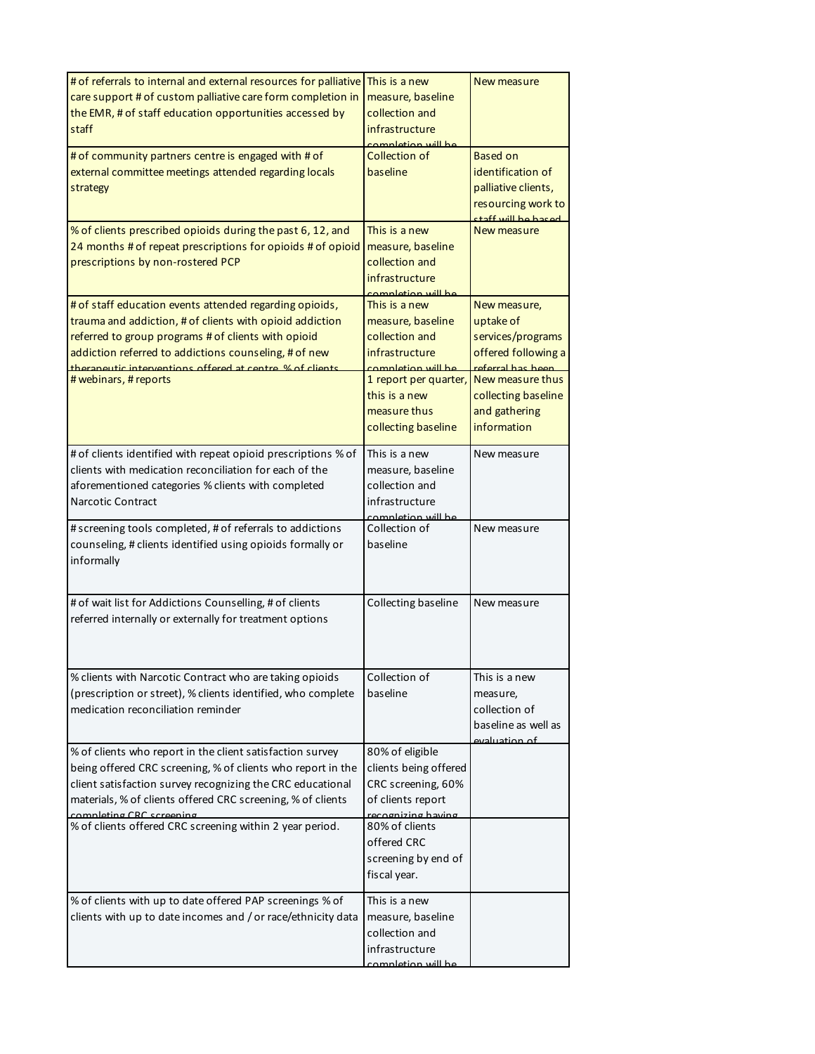| # of referrals to internal and external resources for palliative<br>care support # of custom palliative care form completion in<br>the EMR, # of staff education opportunities accessed by<br>staff                                                                                                                      | This is a new<br>measure, baseline<br>collection and<br>infrastructure<br>completion will be                                                                                  | New measure                                                                                                                                                           |
|--------------------------------------------------------------------------------------------------------------------------------------------------------------------------------------------------------------------------------------------------------------------------------------------------------------------------|-------------------------------------------------------------------------------------------------------------------------------------------------------------------------------|-----------------------------------------------------------------------------------------------------------------------------------------------------------------------|
| # of community partners centre is engaged with # of<br>external committee meetings attended regarding locals<br>strategy                                                                                                                                                                                                 | Collection of<br>baseline                                                                                                                                                     | <b>Based on</b><br>identification of<br>palliative clients,<br>resourcing work to<br>heach ad lliw that:                                                              |
| % of clients prescribed opioids during the past 6, 12, and<br>24 months # of repeat prescriptions for opioids # of opioid<br>prescriptions by non-rostered PCP                                                                                                                                                           | This is a new<br>measure, baseline<br>collection and<br>infrastructure<br>completion will be                                                                                  | New measure                                                                                                                                                           |
| # of staff education events attended regarding opioids,<br>trauma and addiction, # of clients with opioid addiction<br>referred to group programs # of clients with opioid<br>addiction referred to addictions counseling, # of new<br>therangutic interventions offered at centre % of clients<br># webinars, # reports | This is a new<br>measure, baseline<br>collection and<br>infrastructure<br>completion will be<br>1 report per quarter,<br>this is a new<br>measure thus<br>collecting baseline | New measure,<br>uptake of<br>services/programs<br>offered following a<br>referral has heen<br>New measure thus<br>collecting baseline<br>and gathering<br>information |
| # of clients identified with repeat opioid prescriptions % of<br>clients with medication reconciliation for each of the<br>aforementioned categories % clients with completed<br><b>Narcotic Contract</b>                                                                                                                | This is a new<br>measure, baseline<br>collection and<br>infrastructure<br>completion will be                                                                                  | New measure                                                                                                                                                           |
| # screening tools completed, # of referrals to addictions<br>counseling, # clients identified using opioids formally or<br>informally                                                                                                                                                                                    | Collection of<br>baseline                                                                                                                                                     | New measure                                                                                                                                                           |
| # of wait list for Addictions Counselling, # of clients<br>referred internally or externally for treatment options                                                                                                                                                                                                       | Collecting baseline                                                                                                                                                           | New measure                                                                                                                                                           |
| % clients with Narcotic Contract who are taking opioids<br>(prescription or street), % clients identified, who complete<br>medication reconciliation reminder                                                                                                                                                            | Collection of<br>baseline                                                                                                                                                     | This is a new<br>measure,<br>collection of<br>baseline as well as<br>evaluation of                                                                                    |
| % of clients who report in the client satisfaction survey<br>being offered CRC screening, % of clients who report in the<br>client satisfaction survey recognizing the CRC educational<br>materials, % of clients offered CRC screening, % of clients<br>$\lim_{\alpha}$ CRC ecropin                                     | 80% of eligible<br>clients being offered<br>CRC screening, 60%<br>of clients report<br>zing having                                                                            |                                                                                                                                                                       |
| % of clients offered CRC screening within 2 year period.                                                                                                                                                                                                                                                                 | 80% of clients<br>offered CRC<br>screening by end of<br>fiscal year.                                                                                                          |                                                                                                                                                                       |
| % of clients with up to date offered PAP screenings % of<br>clients with up to date incomes and / or race/ethnicity data                                                                                                                                                                                                 | This is a new<br>measure, baseline<br>collection and<br>infrastructure<br>completion will be                                                                                  |                                                                                                                                                                       |